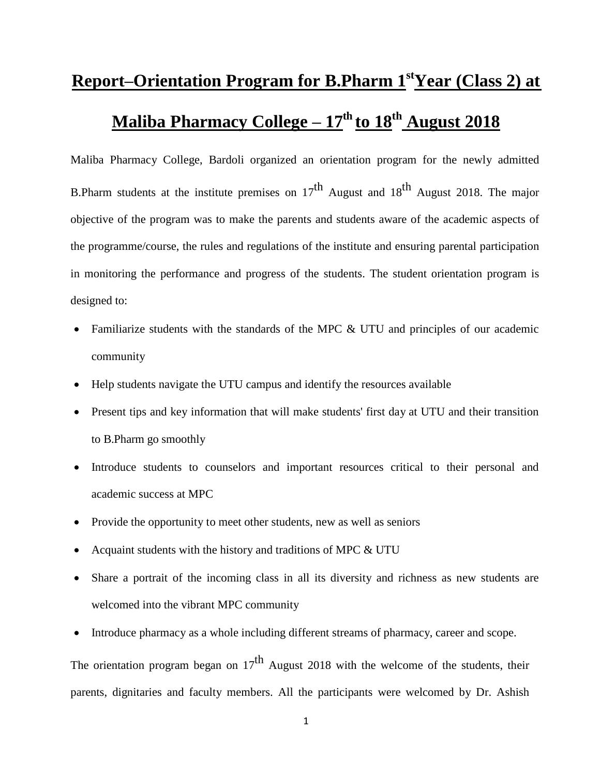## **Report–Orientation Program for B.Pharm 1stYear (Class 2) at Maliba Pharmacy College – 17th to 18 th August 2018**

Maliba Pharmacy College, Bardoli organized an orientation program for the newly admitted B.Pharm students at the institute premises on  $17^{th}$  August and  $18^{th}$  August 2018. The major objective of the program was to make the parents and students aware of the academic aspects of the programme/course, the rules and regulations of the institute and ensuring parental participation in monitoring the performance and progress of the students. The student orientation program is designed to:

- Familiarize students with the standards of the MPC & UTU and principles of our academic community
- Help students navigate the UTU campus and identify the resources available
- Present tips and key information that will make students' first day at UTU and their transition to B.Pharm go smoothly
- Introduce students to counselors and important resources critical to their personal and academic success at MPC
- Provide the opportunity to meet other students, new as well as seniors
- Acquaint students with the history and traditions of MPC & UTU
- Share a portrait of the incoming class in all its diversity and richness as new students are welcomed into the vibrant MPC community
- Introduce pharmacy as a whole including different streams of pharmacy, career and scope.

The orientation program began on  $17<sup>th</sup>$  August 2018 with the welcome of the students, their parents, dignitaries and faculty members. All the participants were welcomed by Dr. Ashish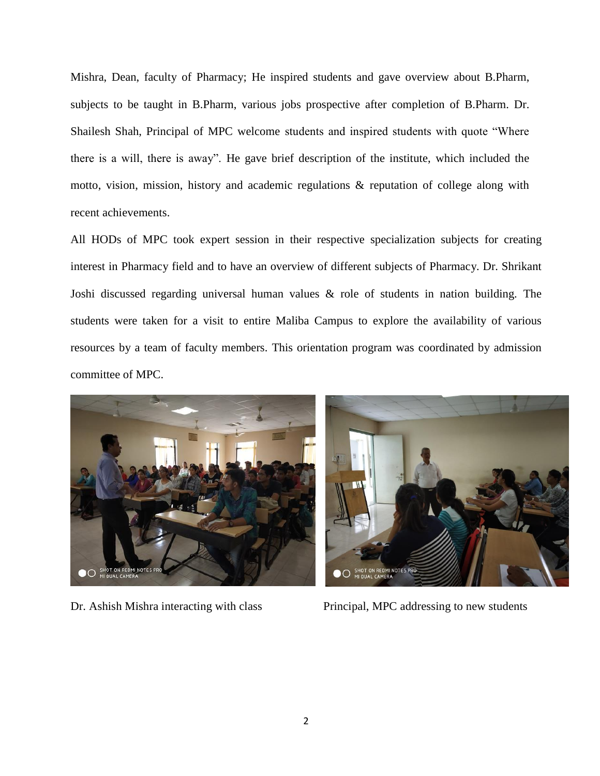Mishra, Dean, faculty of Pharmacy; He inspired students and gave overview about B.Pharm, subjects to be taught in B.Pharm, various jobs prospective after completion of B.Pharm. Dr. Shailesh Shah, Principal of MPC welcome students and inspired students with quote "Where there is a will, there is away". He gave brief description of the institute, which included the motto, vision, mission, history and academic regulations & reputation of college along with recent achievements.

All HODs of MPC took expert session in their respective specialization subjects for creating interest in Pharmacy field and to have an overview of different subjects of Pharmacy. Dr. Shrikant Joshi discussed regarding universal human values & role of students in nation building. The students were taken for a visit to entire Maliba Campus to explore the availability of various resources by a team of faculty members. This orientation program was coordinated by admission committee of MPC.



Dr. Ashish Mishra interacting with class Principal, MPC addressing to new students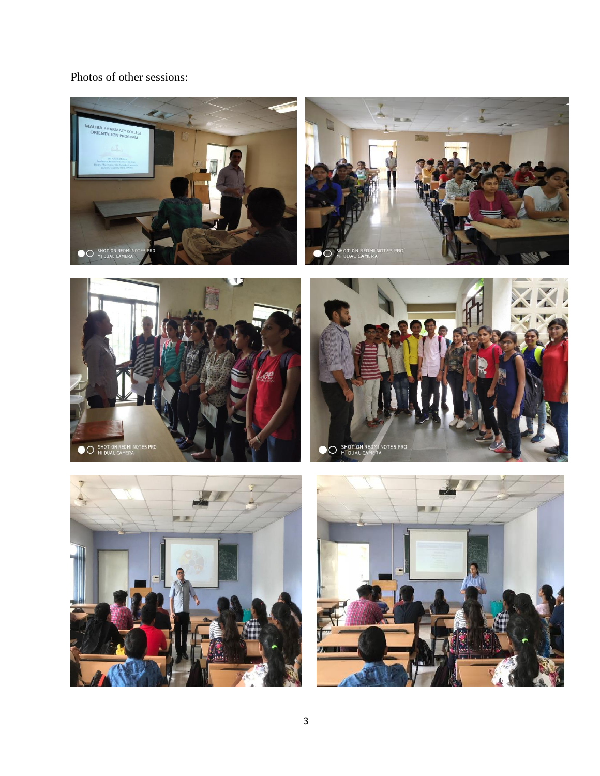Photos of other sessions: